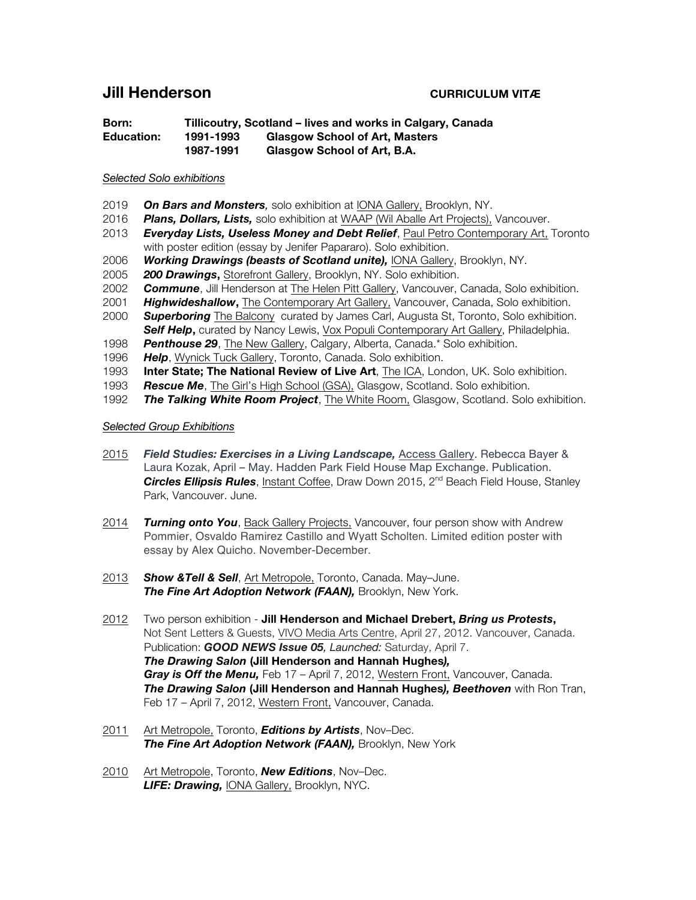# **Jill Henderson CURRICULUM VITÆ**

**Born: Tillicoutry, Scotland – lives and works in Calgary, Canada Education: 1991-1993 Glasgow School of Art, Masters 1987-1991 Glasgow School of Art, B.A.** 

#### *Selected Solo exhibitions*

- 2019 *On Bars and Monsters,* solo exhibition at IONA Gallery, Brooklyn, NY.
- 2016 *Plans, Dollars, Lists,* solo exhibition at WAAP (Wil Aballe Art Projects), Vancouver.
- 2013 *Everyday Lists, Useless Money and Debt Relief*, Paul Petro Contemporary Art, Toronto with poster edition (essay by Jenifer Papararo). Solo exhibition.
- 2006 *Working Drawings (beasts of Scotland unite),* IONA Gallery, Brooklyn, NY.
- 2005 *200 Drawings***,** Storefront Gallery, Brooklyn, NY. Solo exhibition.
- 2002 *Commune*, Jill Henderson at The Helen Pitt Gallery, Vancouver, Canada, Solo exhibition.
- 2001 *Highwideshallow***,** The Contemporary Art Gallery, Vancouver, Canada, Solo exhibition.
- 2000 *Superboring* The Balcony curated by James Carl, Augusta St, Toronto, Solo exhibition. *Self Help***,** curated by Nancy Lewis, Vox Populi Contemporary Art Gallery, Philadelphia.
- 1998 *Penthouse 29*, The New Gallery, Calgary, Alberta, Canada.\* Solo exhibition.
- 1996 *Help*, Wynick Tuck Gallery, Toronto, Canada. Solo exhibition.
- 1993 **Inter State; The National Review of Live Art**, The ICA, London, UK. Solo exhibition.
- 1993 *Rescue Me*, The Girl's High School (GSA), Glasgow, Scotland. Solo exhibition.
- 1992 *The Talking White Room Project*, The White Room, Glasgow, Scotland. Solo exhibition.

#### *Selected Group Exhibitions*

- 2015 *Field Studies: Exercises in a Living Landscape,* Access Gallery. Rebecca Bayer & Laura Kozak, April – May. Hadden Park Field House Map Exchange. Publication. Circles Ellipsis Rules, Instant Coffee, Draw Down 2015, 2<sup>nd</sup> Beach Field House, Stanley Park, Vancouver. June.
- 2014 *Turning onto You*, Back Gallery Projects, Vancouver, four person show with Andrew Pommier, Osvaldo Ramirez Castillo and Wyatt Scholten. Limited edition poster with essay by Alex Quicho. November-December.
- 2013 *Show &Tell & Sell*, Art Metropole, Toronto, Canada. May–June. *The Fine Art Adoption Network (FAAN),* Brooklyn, New York.
- 2012 Two person exhibition **Jill Henderson and Michael Drebert,** *Bring us Protests***,**  Not Sent Letters & Guests, VIVO Media Arts Centre, April 27, 2012. Vancouver, Canada. Publication: *GOOD NEWS Issue 05, Launched:* Saturday, April 7. *The Drawing Salon* **(Jill Henderson and Hannah Hughes***), Gray is Off the Menu,* Feb 17 – April 7, 2012, Western Front, Vancouver, Canada. *The Drawing Salon* **(Jill Henderson and Hannah Hughes***), Beethoven* with Ron Tran, Feb 17 – April 7, 2012, Western Front, Vancouver, Canada.
- 2011 Art Metropole, Toronto, *Editions by Artists*, Nov–Dec. *The Fine Art Adoption Network (FAAN),* Brooklyn, New York
- 2010 Art Metropole, Toronto, *New Editions*, Nov–Dec. *LIFE: Drawing,* IONA Gallery, Brooklyn, NYC.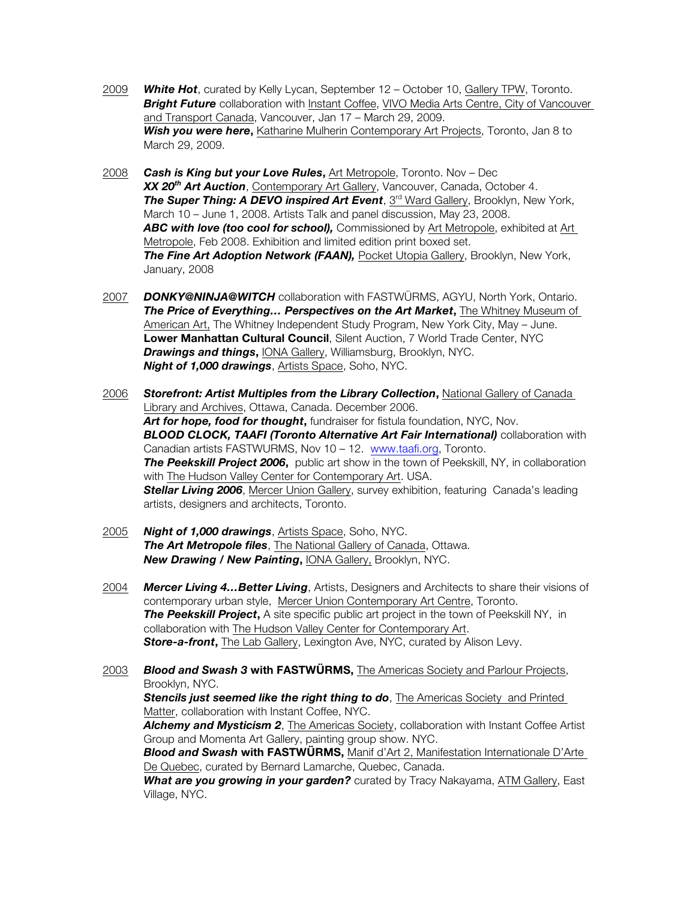- 2009 *White Hot*, curated by Kelly Lycan, September 12 October 10, Gallery TPW, Toronto. **Bright Future** collaboration with Instant Coffee, VIVO Media Arts Centre, City of Vancouver and Transport Canada, Vancouver, Jan 17 – March 29, 2009. **Wish you were here,** Katharine Mulherin Contemporary Art Projects, Toronto, Jan 8 to March 29, 2009.
- 2008 *Cash is King but your Love Rules***,** Art Metropole, Toronto. Nov Dec *XX 20th Art Auction*, Contemporary Art Gallery, Vancouver, Canada, October 4. **The Super Thing: A DEVO inspired Art Event**, 3<sup>rd</sup> Ward Gallery, Brooklyn, New York, March 10 – June 1, 2008. Artists Talk and panel discussion, May 23, 2008. *ABC with love (too cool for school),* Commissioned by Art Metropole, exhibited at Art Metropole, Feb 2008. Exhibition and limited edition print boxed set. *The Fine Art Adoption Network (FAAN),* Pocket Utopia Gallery, Brooklyn, New York, January, 2008
- 2007 *DONKY@NINJA@WITCH* collaboration with FASTWÜRMS, AGYU, North York, Ontario. *The Price of Everything… Perspectives on the Art Market***,** The Whitney Museum of American Art, The Whitney Independent Study Program, New York City, May – June. **Lower Manhattan Cultural Council**, Silent Auction, 7 World Trade Center, NYC *Drawings and things***,** IONA Gallery, Williamsburg, Brooklyn, NYC. *Night of 1,000 drawings*, Artists Space, Soho, NYC.
- 2006 *Storefront: Artist Multiples from the Library Collection***,** National Gallery of Canada Library and Archives, Ottawa, Canada. December 2006. *Art for hope, food for thought***,** fundraiser for fistula foundation, NYC, Nov. *BLOOD CLOCK, TAAFI (Toronto Alternative Art Fair International)* collaboration with Canadian artists FASTWURMS, Nov 10 – 12. www.taafi.org, Toronto. *The Peekskill Project 2006***,** public art show in the town of Peekskill, NY, in collaboration with The Hudson Valley Center for Contemporary Art. USA. **Stellar Living 2006**, Mercer Union Gallery, survey exhibition, featuring Canada's leading artists, designers and architects, Toronto.
- 2005 *Night of 1,000 drawings*, Artists Space, Soho, NYC. *The Art Metropole files*, The National Gallery of Canada, Ottawa. *New Drawing / New Painting***,** IONA Gallery, Brooklyn, NYC.
- 2004 *Mercer Living 4…Better Living*, Artists, Designers and Architects to share their visions of contemporary urban style, Mercer Union Contemporary Art Centre, Toronto. **The Peekskill Project**, A site specific public art project in the town of Peekskill NY, in collaboration with The Hudson Valley Center for Contemporary Art. *Store-a-front***,** The Lab Gallery, Lexington Ave, NYC, curated by Alison Levy.

2003 *Blood and Swash 3* **with FASTWÜRMS,** The Americas Society and Parlour Projects, Brooklyn, NYC. **Stencils just seemed like the right thing to do**, The Americas Society and Printed Matter, collaboration with Instant Coffee, NYC. *Alchemy and Mysticism 2*, The Americas Society, collaboration with Instant Coffee Artist Group and Momenta Art Gallery, painting group show. NYC. *Blood and Swash* **with FASTWÜRMS,** Manif d'Art 2, Manifestation Internationale D'Arte De Quebec, curated by Bernard Lamarche, Quebec, Canada. *What are you growing in your garden?* curated by Tracy Nakayama, ATM Gallery, East Village, NYC.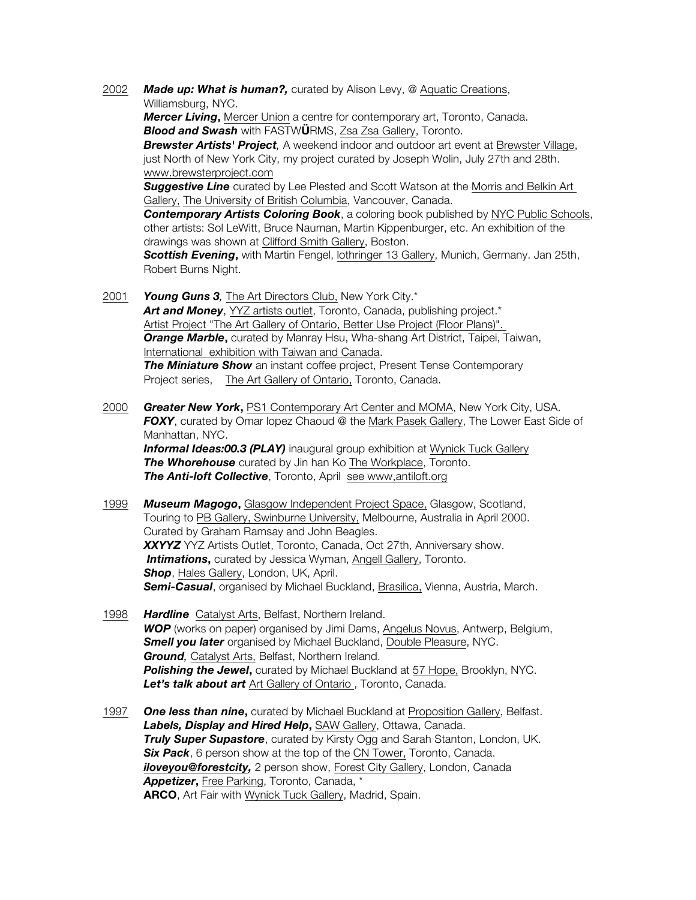2002 *Made up: What is human?,* curated by Alison Levy, @ Aquatic Creations, Williamsburg, NYC.

*Mercer Living***,** Mercer Union a centre for contemporary art, Toronto, Canada. *Blood and Swash* with FASTW**Ü**RMS, Zsa Zsa Gallery, Toronto.

*Brewster Artists' Project,* A weekend indoor and outdoor art event at Brewster Village, just North of New York City, my project curated by Joseph Wolin, July 27th and 28th. www.brewsterproject.com

**Suggestive Line** curated by Lee Plested and Scott Watson at the Morris and Belkin Art Gallery, The University of British Columbia, Vancouver, Canada.

*Contemporary Artists Coloring Book*, a coloring book published by NYC Public Schools, other artists: Sol LeWitt, Bruce Nauman, Martin Kippenburger, etc. An exhibition of the drawings was shown at Clifford Smith Gallery, Boston.

**Scottish Evening,** with Martin Fengel, *lothringer 13 Gallery*, Munich, Germany. Jan 25th, Robert Burns Night.

- 2001 *Young Guns 3,* The Art Directors Club, New York City.\* Art and Money, YYZ artists outlet, Toronto, Canada, publishing project.\* Artist Project "The Art Gallery of Ontario, Better Use Project (Floor Plans)". **Orange Marble**, curated by Manray Hsu, Wha-shang Art District, Taipei, Taiwan, International exhibition with Taiwan and Canada. **The Miniature Show** an instant coffee project, Present Tense Contemporary Project series, The Art Gallery of Ontario, Toronto, Canada.
- 2000 *Greater New York***,** PS1 Contemporary Art Center and MOMA, New York City, USA. *FOXY*, curated by Omar lopez Chaoud @ the Mark Pasek Gallery, The Lower East Side of Manhattan, NYC. **Informal Ideas:00.3 (PLAY)** inaugural group exhibition at Wynick Tuck Gallery **The Whorehouse** curated by Jin han Ko The Workplace, Toronto.

**The Anti-loft Collective**, Toronto, April see www,antiloft.org

- 1999 *Museum Magogo***,** Glasgow Independent Project Space, Glasgow, Scotland, Touring to PB Gallery, Swinburne University, Melbourne, Australia in April 2000. Curated by Graham Ramsay and John Beagles. *XXYYZ* YYZ Artists Outlet, Toronto, Canada, Oct 27th, Anniversary show. **Intimations**, curated by Jessica Wyman, Angell Gallery, Toronto. **Shop**, Hales Gallery, London, UK, April. *Semi-Casual*, organised by Michael Buckland, Brasilica, Vienna, Austria, March.
- 1998 *Hardline* Catalyst Arts, Belfast, Northern Ireland. *WOP* (works on paper) organised by Jimi Dams, Angelus Novus, Antwerp, Belgium, **Smell you later** organised by Michael Buckland, Double Pleasure, NYC. *Ground,* Catalyst Arts, Belfast, Northern Ireland. **Polishing the Jewel,** curated by Michael Buckland at 57 Hope, Brooklyn, NYC. *Let's talk about art* Art Gallery of Ontario , Toronto, Canada.
- 1997 **One less than nine**, curated by Michael Buckland at Proposition Gallery, Belfast. *Labels, Display and Hired Help***,** SAW Gallery, Ottawa, Canada. *Truly Super Supastore, curated by Kirsty Ogg and Sarah Stanton, London, UK.* **Six Pack**, 6 person show at the top of the CN Tower, Toronto, Canada. **iloveyou@forestcity,** 2 person show, Forest City Gallery, London, Canada *Appetizer***,** Free Parking, Toronto, Canada, \* **ARCO**, Art Fair with Wynick Tuck Gallery, Madrid, Spain.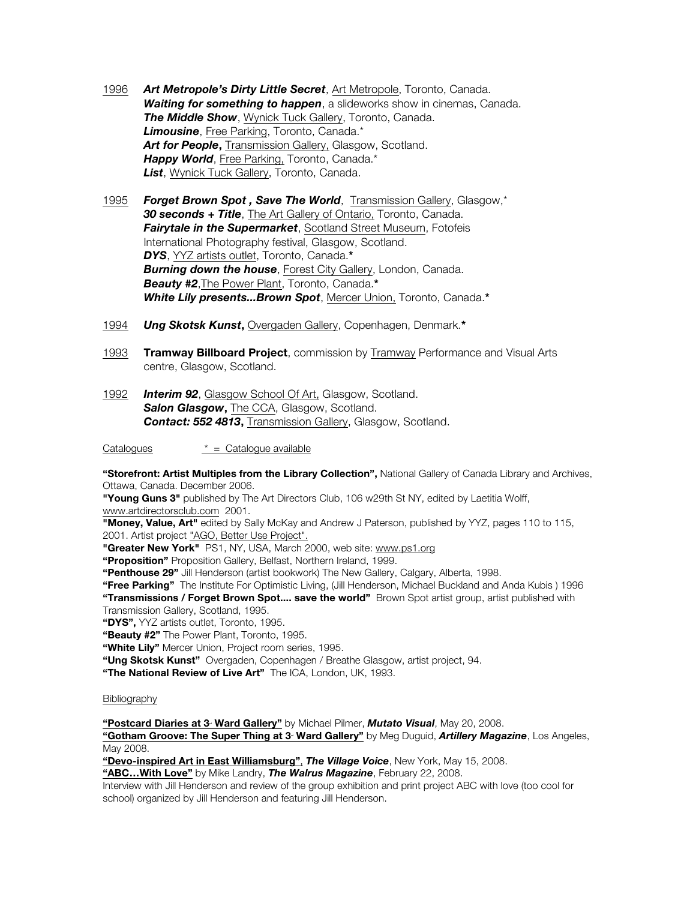- 1996 *Art Metropole's Dirty Little Secret*, Art Metropole, Toronto, Canada. *Waiting for something to happen*, a slideworks show in cinemas, Canada. *The Middle Show*, Wynick Tuck Gallery, Toronto, Canada. *Limousine*, Free Parking, Toronto, Canada.\* Art for People, Transmission Gallery, Glasgow, Scotland. *Happy World*, Free Parking, Toronto, Canada.\* *List*, Wynick Tuck Gallery, Toronto, Canada.
- 1995 *Forget Brown Spot , Save The World*, Transmission Gallery, Glasgow,\* *30 seconds + Title*, The Art Gallery of Ontario, Toronto, Canada. **Fairytale in the Supermarket, Scotland Street Museum, Fotofeis** International Photography festival, Glasgow, Scotland. *DYS*, YYZ artists outlet, Toronto, Canada.**\*** *Burning down the house*, Forest City Gallery, London, Canada. *Beauty #2*,The Power Plant, Toronto, Canada.**\*** *White Lily presents...Brown Spot*, Mercer Union, Toronto, Canada.**\***
- 1994 *Ung Skotsk Kunst***,** Overgaden Gallery, Copenhagen, Denmark.**\***
- 1993 **Tramway Billboard Project**, commission by Tramway Performance and Visual Arts centre, Glasgow, Scotland.
- 1992 *Interim 92*, Glasgow School Of Art, Glasgow, Scotland. **Salon Glasgow, The CCA, Glasgow, Scotland.** *Contact: 552 4813***,** Transmission Gallery, Glasgow, Scotland.

Catalogues \* = Catalogue available

**"Storefront: Artist Multiples from the Library Collection",** National Gallery of Canada Library and Archives, Ottawa, Canada. December 2006.

**"Young Guns 3"** published by The Art Directors Club, 106 w29th St NY, edited by Laetitia Wolff, www.artdirectorsclub.com 2001.

**"Money, Value, Art"** edited by Sally McKay and Andrew J Paterson, published by YYZ, pages 110 to 115, 2001. Artist project "AGO, Better Use Project".

**"Greater New York"** PS1, NY, USA, March 2000, web site: www.ps1.org

**"Proposition"** Proposition Gallery, Belfast, Northern Ireland, 1999.

**"Penthouse 29"** Jill Henderson (artist bookwork) The New Gallery, Calgary, Alberta, 1998.

**"Free Parking"** The Institute For Optimistic Living, (Jill Henderson, Michael Buckland and Anda Kubis ) 1996 **"Transmissions / Forget Brown Spot.... save the world"** Brown Spot artist group, artist published with

Transmission Gallery, Scotland, 1995.

**"DYS",** YYZ artists outlet, Toronto, 1995.

**"Beauty #2"** The Power Plant, Toronto, 1995.

**"White Lily"** Mercer Union, Project room series, 1995.

**"Ung Skotsk Kunst"** Overgaden, Copenhagen / Breathe Glasgow, artist project, 94.

**"The National Review of Live Art"** The ICA, London, UK, 1993.

#### Bibliography

"Postcard Diaries at 3<sup>*.*</sup> Ward Gallery" by Michael Pilmer, *Mutato Visual*, May 20, 2008.

"Gotham Groove: The Super Thing at 3<sup>.</sup> Ward Gallery" by Meg Duguid, Artillery Magazine, Los Angeles, May 2008.

**"Devo-inspired Art in East Williamsburg"**, *The Village Voice*, New York, May 15, 2008.

**"ABC…With Love"** by Mike Landry, *The Walrus Magazine*, February 22, 2008.

Interview with Jill Henderson and review of the group exhibition and print project ABC with love (too cool for school) organized by Jill Henderson and featuring Jill Henderson.